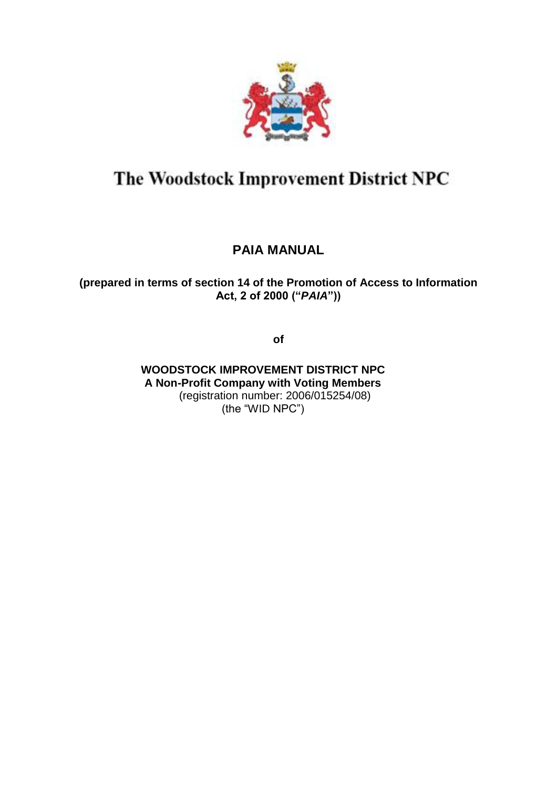

# The Woodstock Improvement District NPC

# **PAIA MANUAL**

### **(prepared in terms of section 14 of the Promotion of Access to Information Act, 2 of 2000 ("***PAIA***"))**

**of**

### **WOODSTOCK IMPROVEMENT DISTRICT NPC A Non-Profit Company with Voting Members** (registration number: 2006/015254/08) (the "WID NPC")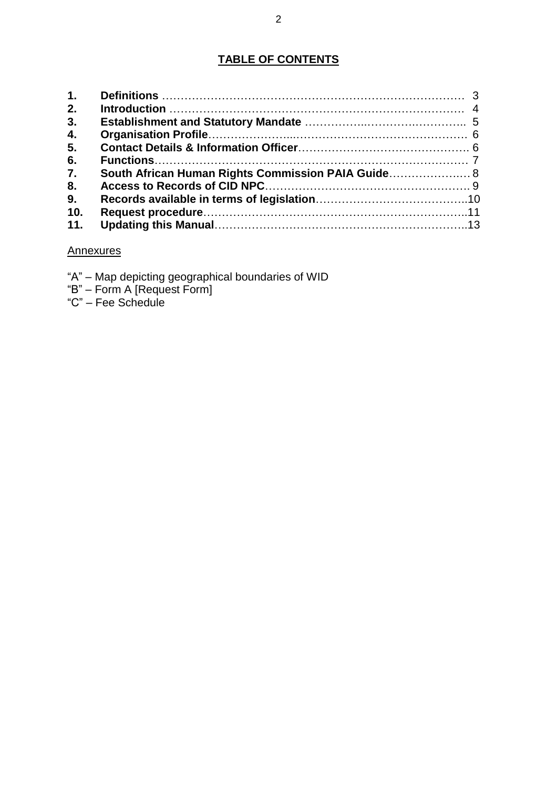## **TABLE OF CONTENTS**

| 1.  |                                                    |  |
|-----|----------------------------------------------------|--|
| 2.  |                                                    |  |
| 3.  |                                                    |  |
| 4.  |                                                    |  |
| 5.  |                                                    |  |
| 6.  |                                                    |  |
| 7.  | South African Human Rights Commission PAIA Guide 8 |  |
| 8.  |                                                    |  |
| 9.  |                                                    |  |
| 10. |                                                    |  |
| 11. |                                                    |  |

#### **Annexures**

- "A" Map depicting geographical boundaries of WID
- "B" Form A [Request Form]
- "C" Fee Schedule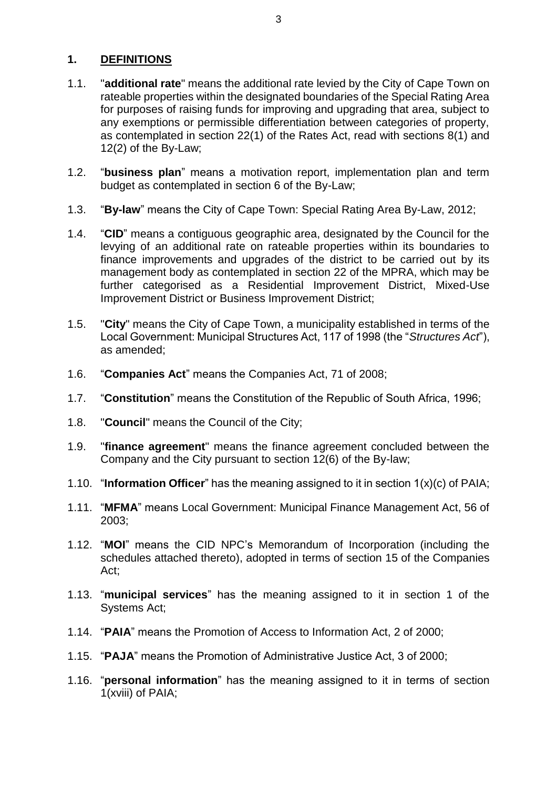### **1. DEFINITIONS**

- 1.1. "**additional rate**" means the additional rate levied by the City of Cape Town on rateable properties within the designated boundaries of the Special Rating Area for purposes of raising funds for improving and upgrading that area, subject to any exemptions or permissible differentiation between categories of property, as contemplated in section 22(1) of the Rates Act, read with sections 8(1) and 12(2) of the By-Law;
- 1.2. "**business plan**" means a motivation report, implementation plan and term budget as contemplated in section 6 of the By-Law;
- 1.3. "**By-law**" means the City of Cape Town: Special Rating Area By-Law, 2012;
- 1.4. "**CID**" means a contiguous geographic area, designated by the Council for the levying of an additional rate on rateable properties within its boundaries to finance improvements and upgrades of the district to be carried out by its management body as contemplated in section 22 of the MPRA, which may be further categorised as a Residential Improvement District, Mixed-Use Improvement District or Business Improvement District;
- 1.5. "**City**" means the City of Cape Town, a municipality established in terms of the Local Government: Municipal Structures Act, 117 of 1998 (the "*Structures Act*"), as amended;
- 1.6. "**Companies Act**" means the Companies Act, 71 of 2008;
- 1.7. "**Constitution**" means the Constitution of the Republic of South Africa, 1996;
- 1.8. "**Council**" means the Council of the City;
- 1.9. "**finance agreement**" means the finance agreement concluded between the Company and the City pursuant to section 12(6) of the By-law;
- 1.10. "**Information Officer**" has the meaning assigned to it in section 1(x)(c) of PAIA;
- 1.11. "**MFMA**" means Local Government: Municipal Finance Management Act, 56 of 2003;
- 1.12. "**MOI**" means the CID NPC's Memorandum of Incorporation (including the schedules attached thereto), adopted in terms of section 15 of the Companies Act;
- 1.13. "**municipal services**" has the meaning assigned to it in section 1 of the Systems Act;
- 1.14. "**PAIA**" means the Promotion of Access to Information Act, 2 of 2000;
- 1.15. "**PAJA**" means the Promotion of Administrative Justice Act, 3 of 2000;
- 1.16. "**personal information**" has the meaning assigned to it in terms of section 1(xviii) of PAIA;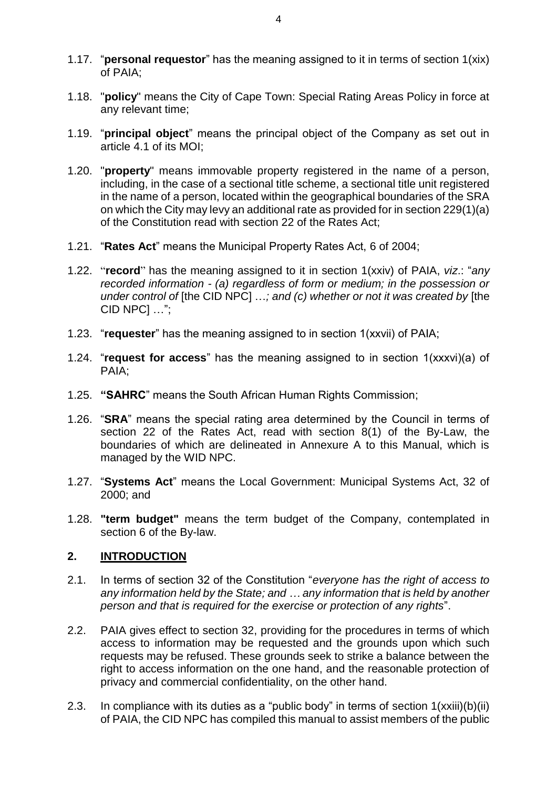- 1.17. "**personal requestor**" has the meaning assigned to it in terms of section 1(xix) of PAIA;
- 1.18. "**policy**" means the City of Cape Town: Special Rating Areas Policy in force at any relevant time;
- 1.19. "**principal object**" means the principal object of the Company as set out in article 4.1 of its MOI;
- 1.20. "**property**" means immovable property registered in the name of a person, including, in the case of a sectional title scheme, a sectional title unit registered in the name of a person, located within the geographical boundaries of the SRA on which the City may levy an additional rate as provided for in section 229(1)(a) of the Constitution read with section 22 of the Rates Act;
- 1.21. "**Rates Act**" means the Municipal Property Rates Act, 6 of 2004;
- 1.22. "**record**" has the meaning assigned to it in section 1(xxiv) of PAIA, *viz*.: "*any recorded information - (a) regardless of form or medium; in the possession or under control of* [the CID NPC] …*; and (c) whether or not it was created by* [the CID NPC] …";
- 1.23. "**requester**" has the meaning assigned to in section 1(xxvii) of PAIA;
- 1.24. "**request for access**" has the meaning assigned to in section 1(xxxvi)(a) of PAIA;
- 1.25. **"SAHRC**" means the South African Human Rights Commission;
- 1.26. "**SRA**" means the special rating area determined by the Council in terms of section 22 of the Rates Act, read with section 8(1) of the By-Law, the boundaries of which are delineated in Annexure A to this Manual, which is managed by the WID NPC.
- 1.27. "**Systems Act**" means the Local Government: Municipal Systems Act, 32 of 2000; and
- 1.28. **"term budget"** means the term budget of the Company, contemplated in section 6 of the By-law.

### **2. INTRODUCTION**

- 2.1. In terms of section 32 of the Constitution "*everyone has the right of access to any information held by the State; and … any information that is held by another person and that is required for the exercise or protection of any rights*".
- 2.2. PAIA gives effect to section 32, providing for the procedures in terms of which access to information may be requested and the grounds upon which such requests may be refused. These grounds seek to strike a balance between the right to access information on the one hand, and the reasonable protection of privacy and commercial confidentiality, on the other hand.
- 2.3. In compliance with its duties as a "public body" in terms of section 1(xxiii)(b)(ii) of PAIA, the CID NPC has compiled this manual to assist members of the public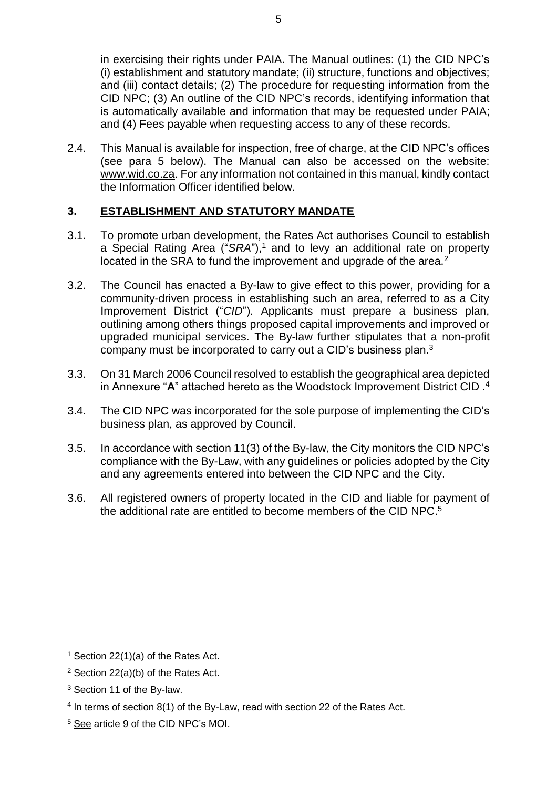in exercising their rights under PAIA. The Manual outlines: (1) the CID NPC's (i) establishment and statutory mandate; (ii) structure, functions and objectives; and (iii) contact details; (2) The procedure for requesting information from the CID NPC; (3) An outline of the CID NPC's records, identifying information that is automatically available and information that may be requested under PAIA; and (4) Fees payable when requesting access to any of these records.

2.4. This Manual is available for inspection, free of charge, at the CID NPC's offices (see para 5 below). The Manual can also be accessed on the website: www.wid.co.za. For any information not contained in this manual, kindly contact the Information Officer identified below.

### **3. ESTABLISHMENT AND STATUTORY MANDATE**

- 3.1. To promote urban development, the Rates Act authorises Council to establish a Special Rating Area ("*SRA*"), <sup>1</sup> and to levy an additional rate on property located in the SRA to fund the improvement and upgrade of the area.<sup>2</sup>
- 3.2. The Council has enacted a By-law to give effect to this power, providing for a community-driven process in establishing such an area, referred to as a City Improvement District ("*CID*"). Applicants must prepare a business plan, outlining among others things proposed capital improvements and improved or upgraded municipal services. The By-law further stipulates that a non-profit company must be incorporated to carry out a CID's business plan.<sup>3</sup>
- 3.3. On 31 March 2006 Council resolved to establish the geographical area depicted in Annexure "**A**" attached hereto as the Woodstock Improvement District CID . 4
- 3.4. The CID NPC was incorporated for the sole purpose of implementing the CID's business plan, as approved by Council.
- 3.5. In accordance with section 11(3) of the By-law, the City monitors the CID NPC's compliance with the By-Law, with any guidelines or policies adopted by the City and any agreements entered into between the CID NPC and the City.
- 3.6. All registered owners of property located in the CID and liable for payment of the additional rate are entitled to become members of the CID NPC.<sup>5</sup>

  $1$  Section 22(1)(a) of the Rates Act.

<sup>2</sup> Section 22(a)(b) of the Rates Act.

<sup>3</sup> Section 11 of the By-law.

<sup>&</sup>lt;sup>4</sup> In terms of section 8(1) of the By-Law, read with section 22 of the Rates Act.

<sup>5</sup> See article 9 of the CID NPC's MOI.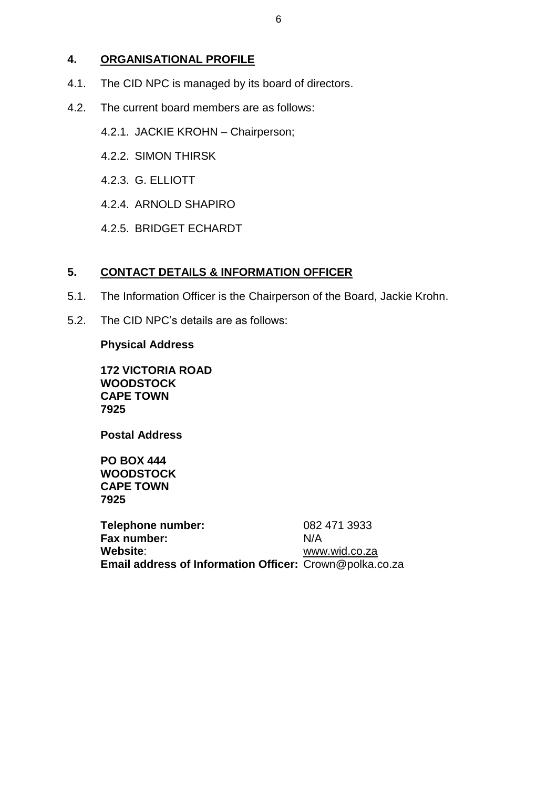### **4. ORGANISATIONAL PROFILE**

- 4.1. The CID NPC is managed by its board of directors.
- 4.2. The current board members are as follows:
	- 4.2.1. JACKIE KROHN Chairperson;
	- 4.2.2. SIMON THIRSK
	- 4.2.3. G. ELLIOTT
	- 4.2.4. ARNOLD SHAPIRO
	- 4.2.5. BRIDGET ECHARDT

### **5. CONTACT DETAILS & INFORMATION OFFICER**

- 5.1. The Information Officer is the Chairperson of the Board, Jackie Krohn.
- 5.2. The CID NPC's details are as follows:

### **Physical Address**

**172 VICTORIA ROAD WOODSTOCK CAPE TOWN 7925**

**Postal Address**

**PO BOX 444 WOODSTOCK CAPE TOWN 7925**

| Telephone number:                                              | 082 471 3933  |
|----------------------------------------------------------------|---------------|
| Fax number:                                                    | N/A           |
| Website:                                                       | www.wid.co.za |
| <b>Email address of Information Officer: Crown@polka.co.za</b> |               |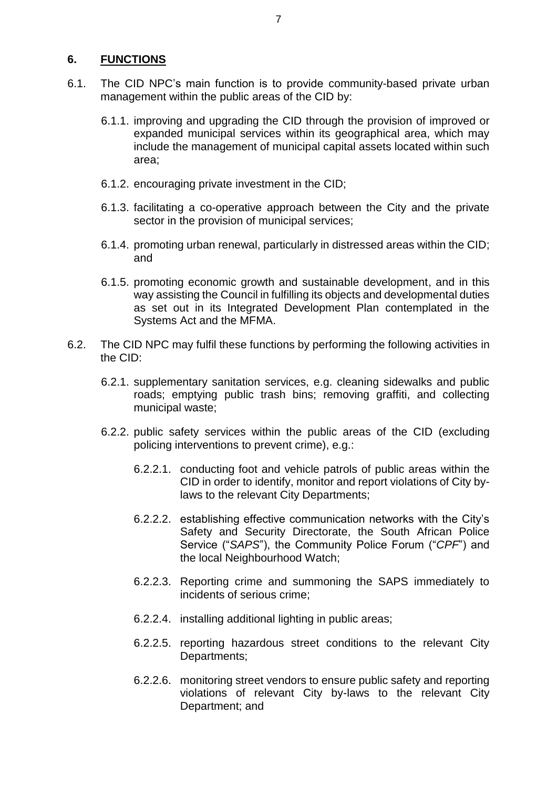### **6. FUNCTIONS**

- 6.1. The CID NPC's main function is to provide community-based private urban management within the public areas of the CID by:
	- 6.1.1. improving and upgrading the CID through the provision of improved or expanded municipal services within its geographical area, which may include the management of municipal capital assets located within such area;
	- 6.1.2. encouraging private investment in the CID;
	- 6.1.3. facilitating a co-operative approach between the City and the private sector in the provision of municipal services;
	- 6.1.4. promoting urban renewal, particularly in distressed areas within the CID; and
	- 6.1.5. promoting economic growth and sustainable development, and in this way assisting the Council in fulfilling its objects and developmental duties as set out in its Integrated Development Plan contemplated in the Systems Act and the MFMA.
- 6.2. The CID NPC may fulfil these functions by performing the following activities in the CID:
	- 6.2.1. supplementary sanitation services, e.g. cleaning sidewalks and public roads; emptying public trash bins; removing graffiti, and collecting municipal waste;
	- 6.2.2. public safety services within the public areas of the CID (excluding policing interventions to prevent crime), e.g.:
		- 6.2.2.1. conducting foot and vehicle patrols of public areas within the CID in order to identify, monitor and report violations of City bylaws to the relevant City Departments;
		- 6.2.2.2. establishing effective communication networks with the City's Safety and Security Directorate, the South African Police Service ("*SAPS*"), the Community Police Forum ("*CPF*") and the local Neighbourhood Watch;
		- 6.2.2.3. Reporting crime and summoning the SAPS immediately to incidents of serious crime;
		- 6.2.2.4. installing additional lighting in public areas;
		- 6.2.2.5. reporting hazardous street conditions to the relevant City Departments;
		- 6.2.2.6. monitoring street vendors to ensure public safety and reporting violations of relevant City by-laws to the relevant City Department; and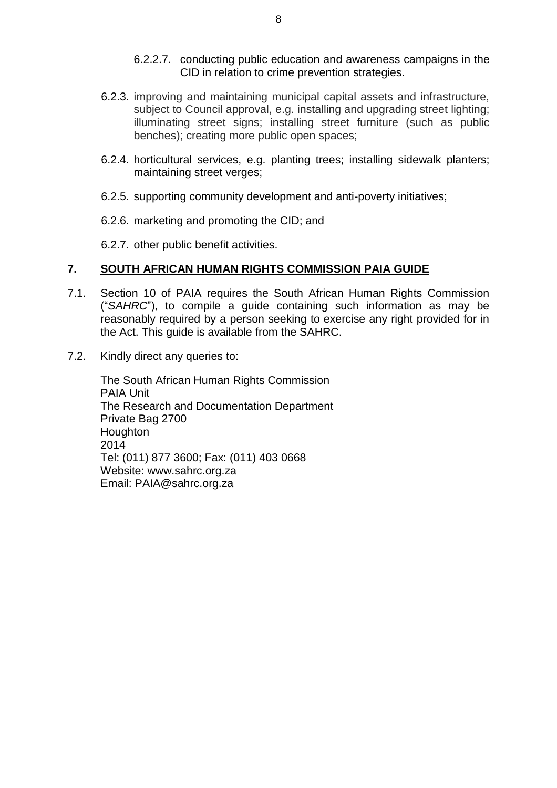- 6.2.2.7. conducting public education and awareness campaigns in the CID in relation to crime prevention strategies.
- 6.2.3. improving and maintaining municipal capital assets and infrastructure, subject to Council approval, e.g. installing and upgrading street lighting; illuminating street signs; installing street furniture (such as public benches); creating more public open spaces;
- 6.2.4. horticultural services, e.g. planting trees; installing sidewalk planters; maintaining street verges;
- 6.2.5. supporting community development and anti-poverty initiatives;
- 6.2.6. marketing and promoting the CID; and
- 6.2.7. other public benefit activities.

### **7. SOUTH AFRICAN HUMAN RIGHTS COMMISSION PAIA GUIDE**

- 7.1. Section 10 of PAIA requires the South African Human Rights Commission ("*SAHRC*"), to compile a guide containing such information as may be reasonably required by a person seeking to exercise any right provided for in the Act. This guide is available from the SAHRC.
- 7.2. Kindly direct any queries to:

The South African Human Rights Commission PAIA Unit The Research and Documentation Department Private Bag 2700 **Houghton** 2014 Tel: (011) 877 3600; Fax: (011) 403 0668 Website: [www.sahrc.org.za](http://www.sahrc.org.za/) Email: PAIA@sahrc.org.za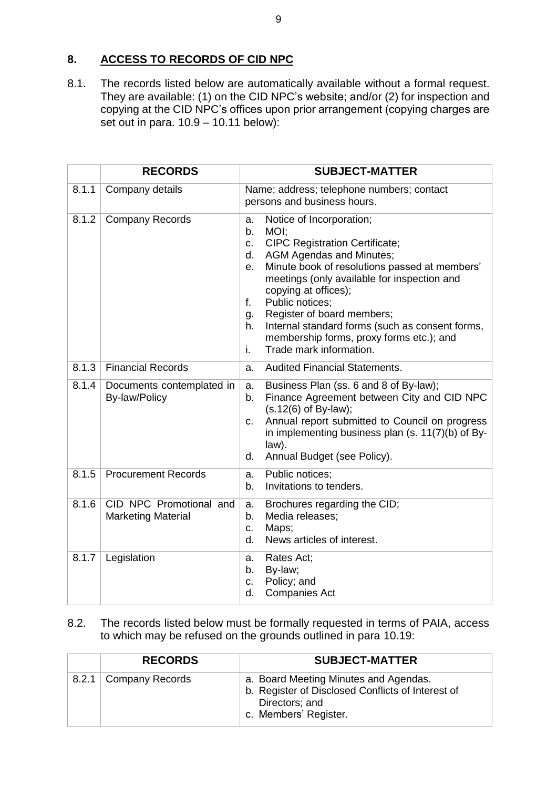### **8. ACCESS TO RECORDS OF CID NPC**

8.1. The records listed below are automatically available without a formal request. They are available: (1) on the CID NPC's website; and/or (2) for inspection and copying at the CID NPC's offices upon prior arrangement (copying charges are set out in para. 10.9 – 10.11 below):

|       | <b>RECORDS</b>                                       | <b>SUBJECT-MATTER</b>                                                                                                                                                                                                                                                                                                                                                                                                                                                 |
|-------|------------------------------------------------------|-----------------------------------------------------------------------------------------------------------------------------------------------------------------------------------------------------------------------------------------------------------------------------------------------------------------------------------------------------------------------------------------------------------------------------------------------------------------------|
| 8.1.1 | Company details                                      | Name; address; telephone numbers; contact<br>persons and business hours.                                                                                                                                                                                                                                                                                                                                                                                              |
| 8.1.2 | <b>Company Records</b>                               | Notice of Incorporation;<br>a.<br>b.<br>MOI;<br><b>CIPC Registration Certificate;</b><br>c.<br><b>AGM Agendas and Minutes;</b><br>d.<br>Minute book of resolutions passed at members'<br>е.<br>meetings (only available for inspection and<br>copying at offices);<br>Public notices;<br>f.<br>Register of board members;<br>g.<br>Internal standard forms (such as consent forms,<br>h.<br>membership forms, proxy forms etc.); and<br>Trade mark information.<br>i. |
| 8.1.3 | <b>Financial Records</b>                             | <b>Audited Financial Statements.</b><br>a.                                                                                                                                                                                                                                                                                                                                                                                                                            |
| 8.1.4 | Documents contemplated in<br>By-law/Policy           | Business Plan (ss. 6 and 8 of By-law);<br>a.<br>Finance Agreement between City and CID NPC<br>b.<br>(s.12(6) of By-law);<br>Annual report submitted to Council on progress<br>c.<br>in implementing business plan (s. 11(7)(b) of By-<br>law).<br>Annual Budget (see Policy).<br>d.                                                                                                                                                                                   |
| 8.1.5 | <b>Procurement Records</b>                           | Public notices:<br>a.<br>Invitations to tenders.<br>b.                                                                                                                                                                                                                                                                                                                                                                                                                |
| 8.1.6 | CID NPC Promotional and<br><b>Marketing Material</b> | Brochures regarding the CID;<br>a.<br>Media releases;<br>b.<br>Maps;<br>c.<br>News articles of interest.<br>d.                                                                                                                                                                                                                                                                                                                                                        |
| 8.1.7 | Legislation                                          | Rates Act;<br>a.<br>By-law;<br>b.<br>Policy; and<br>c.<br>d.<br><b>Companies Act</b>                                                                                                                                                                                                                                                                                                                                                                                  |

8.2. The records listed below must be formally requested in terms of PAIA, access to which may be refused on the grounds outlined in para 10.19:

| <b>RECORDS</b>          | <b>SUBJECT-MATTER</b>                                                                                                                 |
|-------------------------|---------------------------------------------------------------------------------------------------------------------------------------|
| 8.2.1   Company Records | a. Board Meeting Minutes and Agendas.<br>b. Register of Disclosed Conflicts of Interest of<br>Directors; and<br>c. Members' Register. |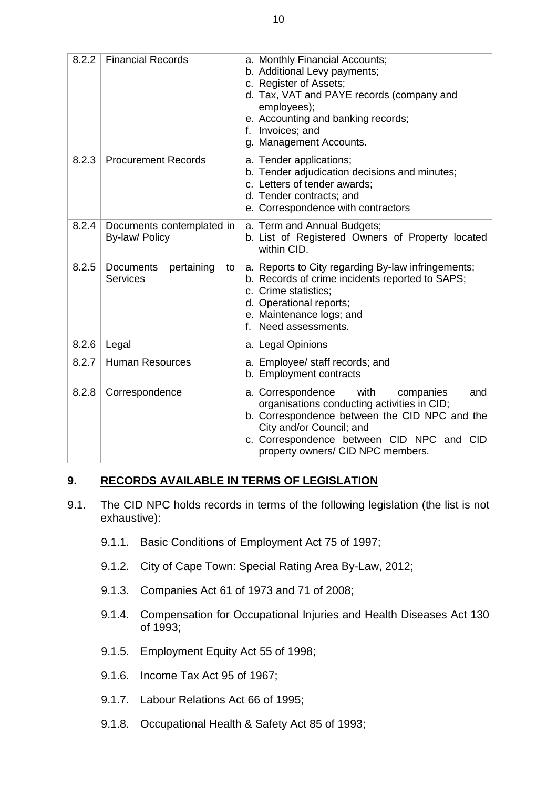| 8.2.2 | <b>Financial Records</b>                                | a. Monthly Financial Accounts;<br>b. Additional Levy payments;<br>c. Register of Assets;<br>d. Tax, VAT and PAYE records (company and<br>employees);<br>e. Accounting and banking records;<br>f. Invoices; and<br>g. Management Accounts.                   |
|-------|---------------------------------------------------------|-------------------------------------------------------------------------------------------------------------------------------------------------------------------------------------------------------------------------------------------------------------|
| 8.2.3 | <b>Procurement Records</b>                              | a. Tender applications;<br>b. Tender adjudication decisions and minutes;<br>c. Letters of tender awards:<br>d. Tender contracts; and<br>e. Correspondence with contractors                                                                                  |
| 8.2.4 | Documents contemplated in<br>By-law/ Policy             | a. Term and Annual Budgets;<br>b. List of Registered Owners of Property located<br>within CID.                                                                                                                                                              |
| 8.2.5 | <b>Documents</b><br>pertaining<br>to<br><b>Services</b> | a. Reports to City regarding By-law infringements;<br>b. Records of crime incidents reported to SAPS;<br>c. Crime statistics;<br>d. Operational reports;<br>e. Maintenance logs; and<br>f. Need assessments.                                                |
| 8.2.6 | Legal                                                   | a. Legal Opinions                                                                                                                                                                                                                                           |
| 8.2.7 | <b>Human Resources</b>                                  | a. Employee/ staff records; and<br>b. Employment contracts                                                                                                                                                                                                  |
| 8.2.8 | Correspondence                                          | a. Correspondence<br>with<br>companies<br>and<br>organisations conducting activities in CID;<br>b. Correspondence between the CID NPC and the<br>City and/or Council; and<br>c. Correspondence between CID NPC and CID<br>property owners/ CID NPC members. |

### **9. RECORDS AVAILABLE IN TERMS OF LEGISLATION**

- 9.1. The CID NPC holds records in terms of the following legislation (the list is not exhaustive):
	- 9.1.1. Basic Conditions of Employment Act 75 of 1997;
	- 9.1.2. City of Cape Town: Special Rating Area By-Law, 2012;
	- 9.1.3. Companies Act 61 of 1973 and 71 of 2008;
	- 9.1.4. Compensation for Occupational Injuries and Health Diseases Act 130 of 1993;
	- 9.1.5. Employment Equity Act 55 of 1998;
	- 9.1.6. Income Tax Act 95 of 1967;
	- 9.1.7. Labour Relations Act 66 of 1995;
	- 9.1.8. Occupational Health & Safety Act 85 of 1993;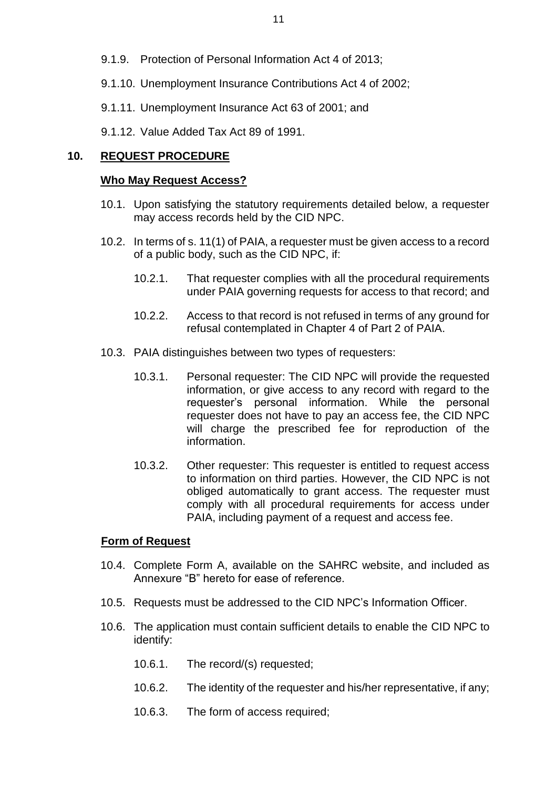- 9.1.9. Protection of Personal Information Act 4 of 2013;
- 9.1.10. Unemployment Insurance Contributions Act 4 of 2002;
- 9.1.11. Unemployment Insurance Act 63 of 2001; and

9.1.12. Value Added Tax Act 89 of 1991.

### **10. REQUEST PROCEDURE**

### **Who May Request Access?**

- 10.1. Upon satisfying the statutory requirements detailed below, a requester may access records held by the CID NPC.
- 10.2. In terms of s. 11(1) of PAIA, a requester must be given access to a record of a public body, such as the CID NPC, if:
	- 10.2.1. That requester complies with all the procedural requirements under PAIA governing requests for access to that record; and
	- 10.2.2. Access to that record is not refused in terms of any ground for refusal contemplated in Chapter 4 of Part 2 of PAIA.
- 10.3. PAIA distinguishes between two types of requesters:
	- 10.3.1. Personal requester: The CID NPC will provide the requested information, or give access to any record with regard to the requester's personal information. While the personal requester does not have to pay an access fee, the CID NPC will charge the prescribed fee for reproduction of the information.
	- 10.3.2. Other requester: This requester is entitled to request access to information on third parties. However, the CID NPC is not obliged automatically to grant access. The requester must comply with all procedural requirements for access under PAIA, including payment of a request and access fee.

### **Form of Request**

- 10.4. Complete Form A, available on the SAHRC website, and included as Annexure "B" hereto for ease of reference.
- 10.5. Requests must be addressed to the CID NPC's Information Officer.
- 10.6. The application must contain sufficient details to enable the CID NPC to identify:
	- 10.6.1. The record/(s) requested;
	- 10.6.2. The identity of the requester and his/her representative, if any;
	- 10.6.3. The form of access required;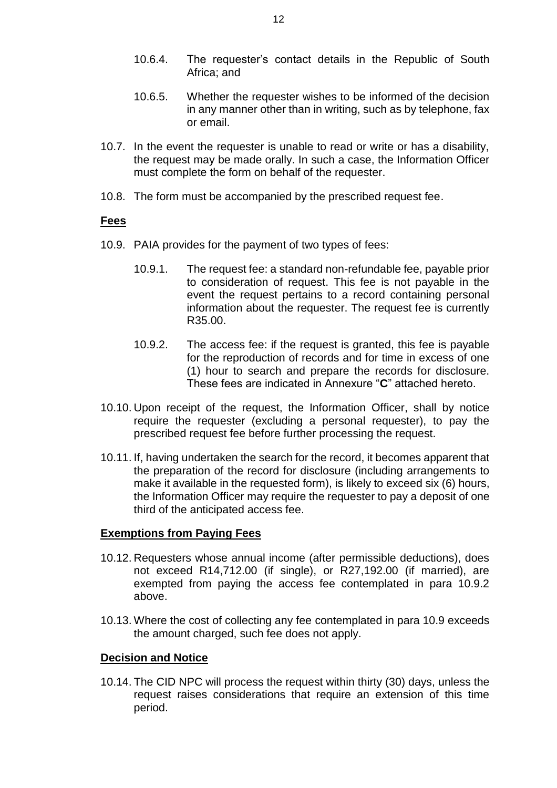- 10.6.4. The requester's contact details in the Republic of South Africa; and
- 10.6.5. Whether the requester wishes to be informed of the decision in any manner other than in writing, such as by telephone, fax or email.
- 10.7. In the event the requester is unable to read or write or has a disability, the request may be made orally. In such a case, the Information Officer must complete the form on behalf of the requester.
- 10.8. The form must be accompanied by the prescribed request fee.

### **Fees**

- 10.9. PAIA provides for the payment of two types of fees:
	- 10.9.1. The request fee: a standard non-refundable fee, payable prior to consideration of request. This fee is not payable in the event the request pertains to a record containing personal information about the requester. The request fee is currently R35.00.
	- 10.9.2. The access fee: if the request is granted, this fee is payable for the reproduction of records and for time in excess of one (1) hour to search and prepare the records for disclosure. These fees are indicated in Annexure "**C**" attached hereto.
- 10.10. Upon receipt of the request, the Information Officer, shall by notice require the requester (excluding a personal requester), to pay the prescribed request fee before further processing the request.
- 10.11. If, having undertaken the search for the record, it becomes apparent that the preparation of the record for disclosure (including arrangements to make it available in the requested form), is likely to exceed six (6) hours, the Information Officer may require the requester to pay a deposit of one third of the anticipated access fee.

### **Exemptions from Paying Fees**

- 10.12. Requesters whose annual income (after permissible deductions), does not exceed R14,712.00 (if single), or R27,192.00 (if married), are exempted from paying the access fee contemplated in para 10.9.2 above.
- 10.13. Where the cost of collecting any fee contemplated in para 10.9 exceeds the amount charged, such fee does not apply.

### **Decision and Notice**

10.14. The CID NPC will process the request within thirty (30) days, unless the request raises considerations that require an extension of this time period.